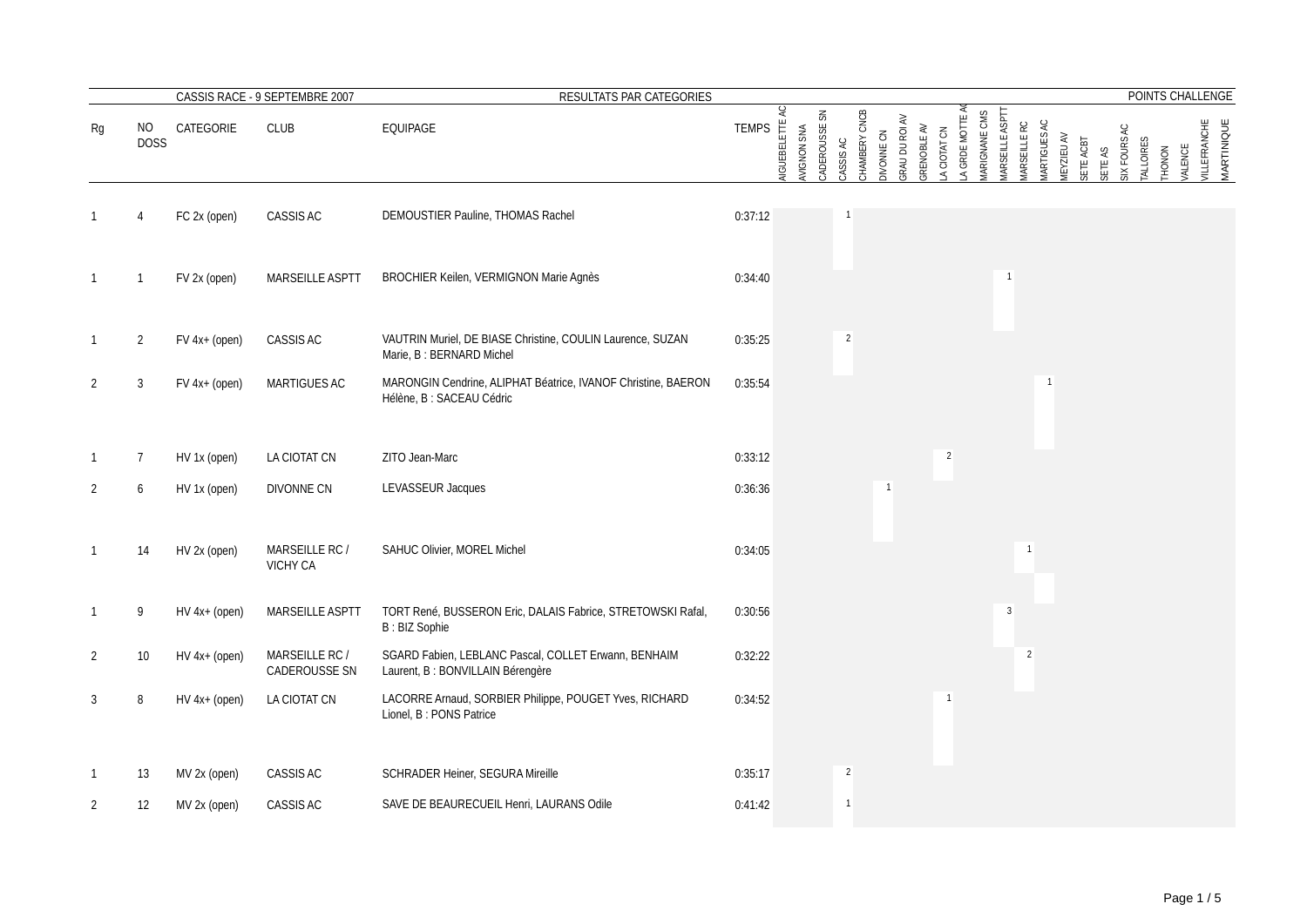|                |                    |                 | CASSIS RACE - 9 SEPTEMBRE 2007    | RESULTATS PAR CATEGORIES                                                                   |              |                  |                                     |                |               |                                     |             |                |                   |               |                                      |                     |                   |           |                         |                            |                | POINTS CHALLENGE                  |
|----------------|--------------------|-----------------|-----------------------------------|--------------------------------------------------------------------------------------------|--------------|------------------|-------------------------------------|----------------|---------------|-------------------------------------|-------------|----------------|-------------------|---------------|--------------------------------------|---------------------|-------------------|-----------|-------------------------|----------------------------|----------------|-----------------------------------|
| Rg             | NO.<br><b>DOSS</b> | CATEGORIE       | CLUB                              | EQUIPAGE                                                                                   | <b>TEMPS</b> | K<br>NGUEBELETTE | S<br>WIGNON SNA<br><b>ADEROUSSE</b> | CASSIS AC      | CHAMBERY CNCB | GRAU DU ROI AV<br><b>DIVONNE CN</b> | GRENOBLE AV | A CIOTAT CN    | ₹<br>A GRDE MOTTE | MARIGNANE CMS | <b>MRSEILLE ASPTT</b><br>MRSEILLE RC | <b>IARTIGUES AC</b> | <b>MEYZIEU AV</b> | SETE ACBT | SIX FOURS AC<br>SETE AS | TALLOIRES<br><b>THONON</b> | <b>VALENCE</b> | <b>VILLEFRANCHE</b><br>MARTINIQUE |
|                |                    | FC 2x (open)    | CASSIS AC                         | DEMOUSTIER Pauline, THOMAS Rachel                                                          | 0:37:12      |                  |                                     |                |               |                                     |             |                |                   |               |                                      |                     |                   |           |                         |                            |                |                                   |
| $\mathbf{1}$   | -1                 | FV 2x (open)    | MARSEILLE ASPTT                   | BROCHIER Keilen, VERMIGNON Marie Agnès                                                     | 0:34:40      |                  |                                     |                |               |                                     |             |                |                   |               |                                      |                     |                   |           |                         |                            |                |                                   |
| $\mathbf{1}$   | $\overline{2}$     | $FV$ 4x+ (open) | CASSIS AC                         | VAUTRIN Muriel, DE BIASE Christine, COULIN Laurence, SUZAN<br>Marie, B: BERNARD Michel     | 0:35:25      |                  |                                     | 2              |               |                                     |             |                |                   |               |                                      |                     |                   |           |                         |                            |                |                                   |
| 2              | 3                  | $FV$ 4x+ (open) | MARTIGUES AC                      | MARONGIN Cendrine, ALIPHAT Béatrice, IVANOF Christine, BAERON<br>Hélène, B : SACEAU Cédric | 0:35:54      |                  |                                     |                |               |                                     |             |                |                   |               |                                      |                     |                   |           |                         |                            |                |                                   |
| $\mathbf{1}$   | 7                  | HV 1x (open)    | LA CIOTAT CN                      | ZITO Jean-Marc                                                                             | 0:33:12      |                  |                                     |                |               |                                     |             | $\overline{2}$ |                   |               |                                      |                     |                   |           |                         |                            |                |                                   |
| 2              | 6                  | HV 1x (open)    | DIVONNE CN                        | LEVASSEUR Jacques                                                                          | 0:36:36      |                  |                                     |                |               |                                     |             |                |                   |               |                                      |                     |                   |           |                         |                            |                |                                   |
| 1              | 14                 | HV 2x (open)    | MARSEILLE RC /<br><b>VICHY CA</b> | SAHUC Olivier, MOREL Michel                                                                | 0:34:05      |                  |                                     |                |               |                                     |             |                |                   |               |                                      |                     |                   |           |                         |                            |                |                                   |
| 1              | 9                  | $HV 4x+ (open)$ | MARSEILLE ASPTT                   | TORT René, BUSSERON Eric, DALAIS Fabrice, STRETOWSKI Rafal,<br><b>B: BIZ Sophie</b>        | 0:30:56      |                  |                                     |                |               |                                     |             |                |                   |               | $\overline{3}$                       |                     |                   |           |                         |                            |                |                                   |
| $\overline{2}$ | 10 <sup>°</sup>    | $HV 4x+ (open)$ | MARSEILLE RC /<br>CADEROUSSE SN   | SGARD Fabien, LEBLANC Pascal, COLLET Erwann, BENHAIM<br>Laurent, B : BONVILLAIN Bérengère  | 0:32:22      |                  |                                     |                |               |                                     |             |                |                   |               |                                      | $\overline{2}$      |                   |           |                         |                            |                |                                   |
| 3              | 8                  | $HV 4x+ (open)$ | LA CIOTAT CN                      | LACORRE Arnaud, SORBIER Philippe, POUGET Yves, RICHARD<br>Lionel, B: PONS Patrice          | 0:34:52      |                  |                                     |                |               |                                     |             |                |                   |               |                                      |                     |                   |           |                         |                            |                |                                   |
| $\mathbf{1}$   | 13                 | MV 2x (open)    | CASSIS AC                         | SCHRADER Heiner, SEGURA Mireille                                                           | 0:35:17      |                  |                                     | $\overline{2}$ |               |                                     |             |                |                   |               |                                      |                     |                   |           |                         |                            |                |                                   |
| 2              | 12                 | MV 2x (open)    | CASSIS AC                         | SAVE DE BEAURECUEIL Henri, LAURANS Odile                                                   | 0:41:42      |                  |                                     | $\mathbf{1}$   |               |                                     |             |                |                   |               |                                      |                     |                   |           |                         |                            |                |                                   |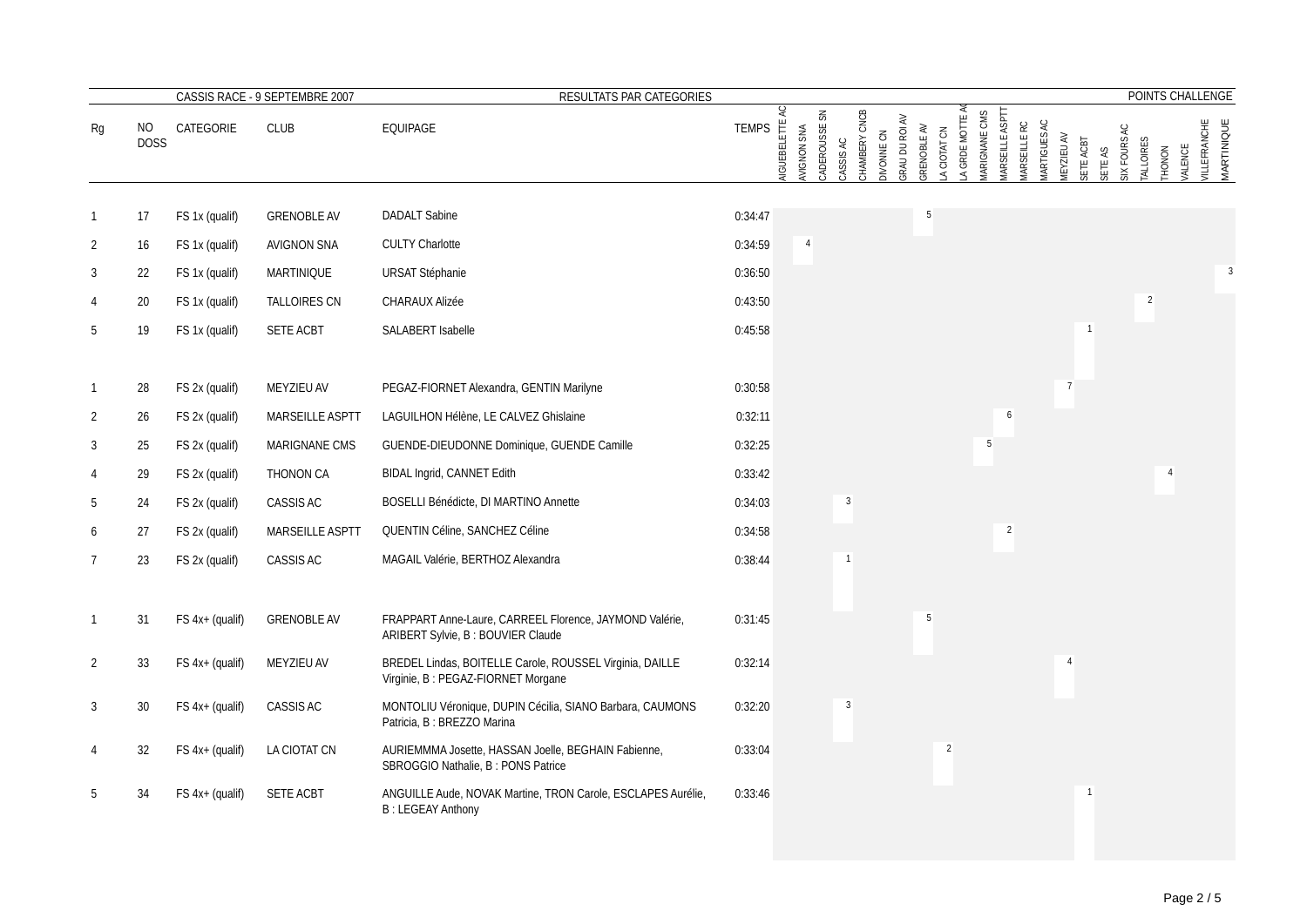|                |                   |                   | CASSIS RACE - 9 SEPTEMBRE 2007 | RESULTATS PAR CATEGORIES                                                                       |              |                         |                                |              |               |                              |             |                             |               |                       |             |                     |                         |         |                                  |                |                | POINTS CHALLENGE                  |
|----------------|-------------------|-------------------|--------------------------------|------------------------------------------------------------------------------------------------|--------------|-------------------------|--------------------------------|--------------|---------------|------------------------------|-------------|-----------------------------|---------------|-----------------------|-------------|---------------------|-------------------------|---------|----------------------------------|----------------|----------------|-----------------------------------|
| Rg             | ΝO<br><b>DOSS</b> | CATEGORIE         | <b>CLUB</b>                    | EQUIPAGE                                                                                       | <b>TEMPS</b> | Q<br><b>NGUEBELETTE</b> | š<br>CADEROUSSE<br>AVIGNON SNA | CASSIS AC    | CHAMBERY CNCB | GRAU DU ROI AV<br>DIVONNE CN | GRENOBLE AV | A GRDE MOTTE<br>A CIOTAT CN | MARIGNANE CMS | <b>MRSEILLE ASPTT</b> | MRSEILLE RC | <b>IARTIGUES AC</b> | MEYZIEU AV<br>SETE ACBT | SETE AS | SIX FOURS AC<br><b>TALLOIRES</b> | THONON         | <b>VALENCE</b> | <b>VILLEFRANCHE</b><br>MARTINIQUE |
|                |                   |                   |                                |                                                                                                |              |                         |                                |              |               |                              |             |                             |               |                       |             |                     |                         |         |                                  |                |                |                                   |
|                | 17                | FS 1x (qualif)    | <b>GRENOBLE AV</b>             | <b>DADALT Sabine</b>                                                                           | 0:34:47      |                         |                                |              |               |                              |             |                             |               |                       |             |                     |                         |         |                                  |                |                |                                   |
| $\overline{2}$ | 16                | FS 1x (qualif)    | <b>AVIGNON SNA</b>             | <b>CULTY Charlotte</b>                                                                         | 0:34:59      |                         |                                |              |               |                              |             |                             |               |                       |             |                     |                         |         |                                  |                |                |                                   |
| 3              | 22                | FS 1x (qualif)    | MARTINIQUE                     | <b>URSAT Stéphanie</b>                                                                         | 0:36:50      |                         |                                |              |               |                              |             |                             |               |                       |             |                     |                         |         |                                  |                |                | $\overline{3}$                    |
|                | 20                | FS 1x (qualif)    | <b>TALLOIRES CN</b>            | <b>CHARAUX Alizée</b>                                                                          | 0:43:50      |                         |                                |              |               |                              |             |                             |               |                       |             |                     |                         |         |                                  | $\overline{2}$ |                |                                   |
| 5              | 19                | FS 1x (qualif)    | SETE ACBT                      | SALABERT Isabelle                                                                              | 0:45:58      |                         |                                |              |               |                              |             |                             |               |                       |             |                     |                         |         |                                  |                |                |                                   |
|                |                   |                   |                                |                                                                                                |              |                         |                                |              |               |                              |             |                             |               |                       |             |                     |                         |         |                                  |                |                |                                   |
| $\mathbf{1}$   | 28                | FS 2x (qualif)    | MEYZIEU AV                     | PEGAZ-FIORNET Alexandra, GENTIN Marilyne                                                       | 0:30:58      |                         |                                |              |               |                              |             |                             |               |                       |             |                     | $\overline{7}$          |         |                                  |                |                |                                   |
| 2              | 26                | FS 2x (qualif)    | <b>MARSEILLE ASPTT</b>         | LAGUILHON Hélène, LE CALVEZ Ghislaine                                                          | 0:32:11      |                         |                                |              |               |                              |             |                             |               | 6                     |             |                     |                         |         |                                  |                |                |                                   |
| 3              | 25                | FS 2x (qualif)    | MARIGNANE CMS                  | GUENDE-DIEUDONNE Dominique, GUENDE Camille                                                     | 0:32:25      |                         |                                |              |               |                              |             |                             |               | 5                     |             |                     |                         |         |                                  |                |                |                                   |
| 4              | 29                | FS 2x (qualif)    | THONON CA                      | BIDAL Ingrid, CANNET Edith                                                                     | 0:33:42      |                         |                                |              |               |                              |             |                             |               |                       |             |                     |                         |         |                                  | $\overline{4}$ |                |                                   |
| 5              | 24                | FS 2x (qualif)    | CASSIS AC                      | BOSELLI Bénédicte, DI MARTINO Annette                                                          | 0:34:03      |                         |                                | $\mathbf{3}$ |               |                              |             |                             |               |                       |             |                     |                         |         |                                  |                |                |                                   |
| 6              | 27                | FS 2x (qualif)    | MARSEILLE ASPTT                | QUENTIN Céline, SANCHEZ Céline                                                                 | 0:34:58      |                         |                                |              |               |                              |             |                             |               | $\overline{2}$        |             |                     |                         |         |                                  |                |                |                                   |
| 7              | 23                | FS 2x (qualif)    | CASSIS AC                      | MAGAIL Valérie, BERTHOZ Alexandra                                                              | 0:38:44      |                         |                                |              |               |                              |             |                             |               |                       |             |                     |                         |         |                                  |                |                |                                   |
|                |                   |                   |                                |                                                                                                |              |                         |                                |              |               |                              |             |                             |               |                       |             |                     |                         |         |                                  |                |                |                                   |
| $\mathbf{1}$   | 31                | FS 4x+ (qualif)   | <b>GRENOBLE AV</b>             | FRAPPART Anne-Laure, CARREEL Florence, JAYMOND Valérie,<br>ARIBERT Sylvie, B: BOUVIER Claude   | 0:31:45      |                         |                                |              |               |                              | 5           |                             |               |                       |             |                     |                         |         |                                  |                |                |                                   |
| $\overline{2}$ | 33                | FS 4x+ (qualif)   | MEYZIEU AV                     | BREDEL Lindas, BOITELLE Carole, ROUSSEL Virginia, DAILLE<br>Virginie, B: PEGAZ-FIORNET Morgane | 0:32:14      |                         |                                |              |               |                              |             |                             |               |                       |             |                     | $\overline{4}$          |         |                                  |                |                |                                   |
| 3              | 30                | $FS$ 4x+ (qualif) | CASSIS AC                      | MONTOLIU Véronique, DUPIN Cécilia, SIANO Barbara, CAUMONS<br>Patricia, B : BREZZO Marina       | 0:32:20      |                         |                                | 3            |               |                              |             |                             |               |                       |             |                     |                         |         |                                  |                |                |                                   |
|                | 32                | $FS$ 4x+ (qualif) | LA CIOTAT CN                   | AURIEMMMA Josette, HASSAN Joelle, BEGHAIN Fabienne,<br>SBROGGIO Nathalie, B: PONS Patrice      | 0:33:04      |                         |                                |              |               |                              |             | $\overline{2}$              |               |                       |             |                     |                         |         |                                  |                |                |                                   |
|                | 34                | $FS$ 4x+ (qualif) | <b>SETE ACBT</b>               | ANGUILLE Aude, NOVAK Martine, TRON Carole, ESCLAPES Aurélie,<br><b>B: LEGEAY Anthony</b>       | 0:33:46      |                         |                                |              |               |                              |             |                             |               |                       |             |                     | $\mathbf{1}$            |         |                                  |                |                |                                   |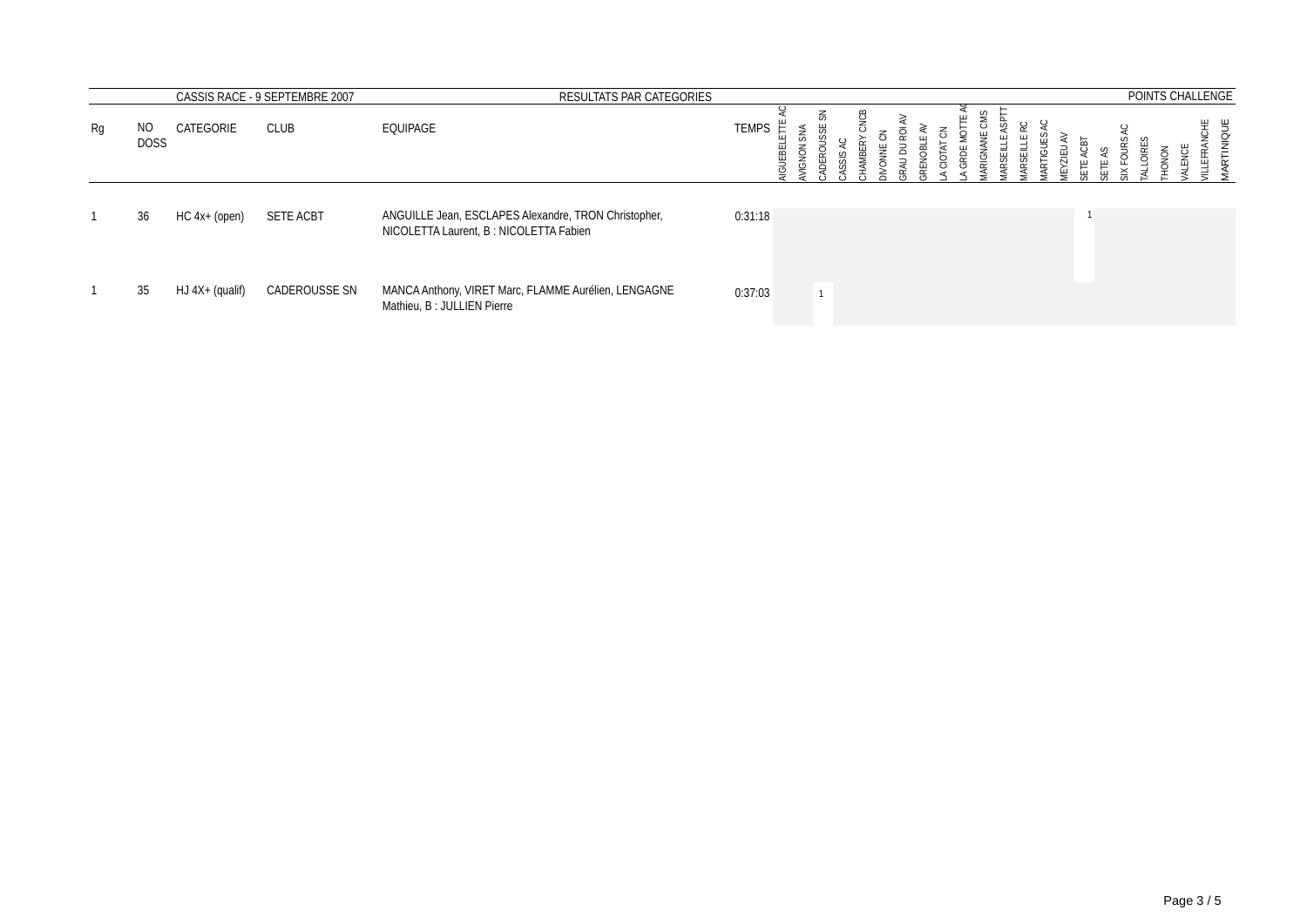|    |                    |                 | CASSIS RACE - 9 SEPTEMBRE 2007 | RESULTATS PAR CATEGORIES                                                                       |              |                |      |           |     |      |                  |             |               |   |              |      |           | POINTS CHALLENGE    |
|----|--------------------|-----------------|--------------------------------|------------------------------------------------------------------------------------------------|--------------|----------------|------|-----------|-----|------|------------------|-------------|---------------|---|--------------|------|-----------|---------------------|
| Rg | NO.<br><b>DOSS</b> | CATEGORIE       | <b>CLUB</b>                    | EQUIPAGE                                                                                       | <b>TEMPS</b> | <b>IGUEBEI</b> | JIGN | 룲<br>DERC | SIS | ONNE | 롱<br>CIOTAT<br>ă | <b>RIGI</b> | <b>RTIGUI</b> | 긊 | $C \times C$ | OIRE | ENCE<br>ă | Ж∪Н<br>RTIN<br>EFR. |
|    | 36                 | HC 4x+ (open)   | <b>SETE ACBT</b>               | ANGUILLE Jean, ESCLAPES Alexandre, TRON Christopher,<br>NICOLETTA Laurent, B: NICOLETTA Fabien | 0:31:18      |                |      |           |     |      |                  |             |               |   |              |      |           |                     |
|    | 35                 | HJ 4X+ (qualif) | CADEROUSSE SN                  | MANCA Anthony, VIRET Marc, FLAMME Aurélien, LENGAGNE<br>Mathieu, B: JULLIEN Pierre             | 0:37:03      |                |      |           |     |      |                  |             |               |   |              |      |           |                     |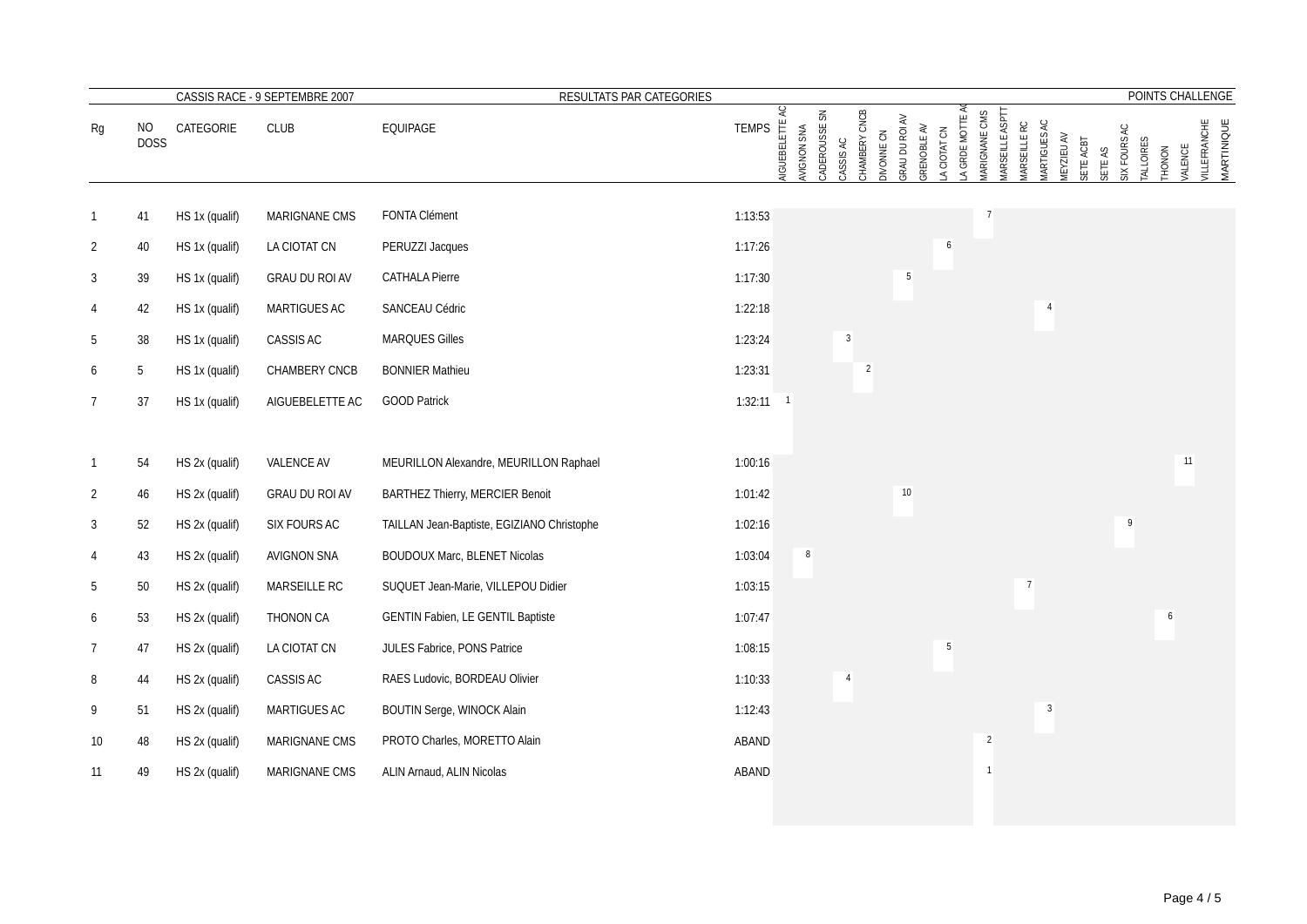|                 |                     |                | CASSIS RACE - 9 SEPTEMBRE 2007<br>RESULTATS PAR CATEGORIES |                                            |              |                         |                              |                |                             |                |                            |                 |                      |                                       |                    |                   |           |                         |                     |                | POINTS CHALLENGE                  |
|-----------------|---------------------|----------------|------------------------------------------------------------|--------------------------------------------|--------------|-------------------------|------------------------------|----------------|-----------------------------|----------------|----------------------------|-----------------|----------------------|---------------------------------------|--------------------|-------------------|-----------|-------------------------|---------------------|----------------|-----------------------------------|
| Rg              | $NO$<br><b>DOSS</b> | CATEGORIE      | <b>CLUB</b>                                                | EQUIPAGE                                   | <b>TEMPS</b> | K<br><b>NGUEBELETTE</b> | CADEROUSSE SN<br>AVIGNON SNA | CASSIS AC      | CHAMBERY CNCB<br>DIVONNE CN | GRAU DU ROI AV | GRENOBLE AV<br>A CIOTAT CN | A GRDE MOTTE A  | <b>MARIGNANE CMS</b> | <b>MARSEILLE ASPTT</b><br>MRSEILLE RC | <b>MRTIGUES AC</b> | <b>IEYZIEU AV</b> | SETE ACBT | SIX FOURS AC<br>SETE AS | TALLOIRES<br>THONON | <b>VALENCE</b> | <b>VILLEFRANCHE</b><br>MARTINIQUE |
|                 | 41                  | HS 1x (qualif) | MARIGNANE CMS                                              | FONTA Clément                              | 1:13:53      |                         |                              |                |                             |                |                            |                 |                      |                                       |                    |                   |           |                         |                     |                |                                   |
| $\overline{2}$  | $40\,$              | HS 1x (qualif) | LA CIOTAT CN                                               | PERUZZI Jacques                            | 1:17:26      |                         |                              |                |                             |                |                            | 6               |                      |                                       |                    |                   |           |                         |                     |                |                                   |
| 3               | 39                  | HS 1x (qualif) | GRAU DU ROI AV                                             | <b>CATHALA Pierre</b>                      | 1:17:30      |                         |                              |                |                             | 5              |                            |                 |                      |                                       |                    |                   |           |                         |                     |                |                                   |
|                 | 42                  | HS 1x (qualif) | MARTIGUES AC                                               | SANCEAU Cédric                             | 1:22:18      |                         |                              |                |                             |                |                            |                 |                      |                                       | $\overline{4}$     |                   |           |                         |                     |                |                                   |
| 5               | 38                  | HS 1x (qualif) | CASSIS AC                                                  | MARQUES Gilles                             | 1:23:24      |                         |                              | $\mathbf{3}$   |                             |                |                            |                 |                      |                                       |                    |                   |           |                         |                     |                |                                   |
| 6               | 5                   | HS 1x (qualif) | CHAMBERY CNCB                                              | <b>BONNIER Mathieu</b>                     | 1:23:31      |                         |                              |                | $\overline{2}$              |                |                            |                 |                      |                                       |                    |                   |           |                         |                     |                |                                   |
| $7\overline{ }$ | $37\,$              | HS 1x (qualif) | AIGUEBELETTE AC                                            | <b>GOOD Patrick</b>                        | $1:32:11$ 1  |                         |                              |                |                             |                |                            |                 |                      |                                       |                    |                   |           |                         |                     |                |                                   |
|                 |                     |                |                                                            |                                            |              |                         |                              |                |                             |                |                            |                 |                      |                                       |                    |                   |           |                         |                     |                |                                   |
| $\mathbf{1}$    | 54                  | HS 2x (qualif) | VALENCE AV                                                 | MEURILLON Alexandre, MEURILLON Raphael     | 1:00:16      |                         |                              |                |                             |                |                            |                 |                      |                                       |                    |                   |           |                         |                     | 11             |                                   |
| $\overline{2}$  | 46                  | HS 2x (qualif) | GRAU DU ROI AV                                             | <b>BARTHEZ Thierry, MERCIER Benoit</b>     | 1:01:42      |                         |                              |                |                             | $10\,$         |                            |                 |                      |                                       |                    |                   |           |                         |                     |                |                                   |
| 3               | 52                  | HS 2x (qualif) | SIX FOURS AC                                               | TAILLAN Jean-Baptiste, EGIZIANO Christophe | 1:02:16      |                         |                              |                |                             |                |                            |                 |                      |                                       |                    |                   |           | 9                       |                     |                |                                   |
|                 | 43                  | HS 2x (qualif) | AVIGNON SNA                                                | BOUDOUX Marc, BLENET Nicolas               | 1:03:04      |                         | 8                            |                |                             |                |                            |                 |                      |                                       |                    |                   |           |                         |                     |                |                                   |
| 5               | $50\,$              | HS 2x (qualif) | MARSEILLE RC                                               | SUQUET Jean-Marie, VILLEPOU Didier         | 1:03:15      |                         |                              |                |                             |                |                            |                 |                      |                                       | $\overline{7}$     |                   |           |                         |                     |                |                                   |
| 6               | 53                  | HS 2x (qualif) | THONON CA                                                  | GENTIN Fabien, LE GENTIL Baptiste          | 1:07:47      |                         |                              |                |                             |                |                            |                 |                      |                                       |                    |                   |           |                         |                     | 6              |                                   |
| $\overline{7}$  | 47                  | HS 2x (qualif) | LA CIOTAT CN                                               | JULES Fabrice, PONS Patrice                | 1:08:15      |                         |                              |                |                             |                |                            | $5\phantom{.0}$ |                      |                                       |                    |                   |           |                         |                     |                |                                   |
| 8               | 44                  | HS 2x (qualif) | CASSIS AC                                                  | RAES Ludovic, BORDEAU Olivier              | 1:10:33      |                         |                              | $\overline{4}$ |                             |                |                            |                 |                      |                                       |                    |                   |           |                         |                     |                |                                   |
| 9               | 51                  | HS 2x (qualif) | MARTIGUES AC                                               | BOUTIN Serge, WINOCK Alain                 | 1:12:43      |                         |                              |                |                             |                |                            |                 |                      |                                       | $\mathbf{3}$       |                   |           |                         |                     |                |                                   |
| 10              | 48                  | HS 2x (qualif) | MARIGNANE CMS                                              | PROTO Charles, MORETTO Alain               | ABAND        |                         |                              |                |                             |                |                            |                 | $\overline{2}$       |                                       |                    |                   |           |                         |                     |                |                                   |
| 11              | 49                  | HS 2x (qualif) | MARIGNANE CMS                                              | ALIN Arnaud, ALIN Nicolas                  | ABAND        |                         |                              |                |                             |                |                            |                 |                      |                                       |                    |                   |           |                         |                     |                |                                   |
|                 |                     |                |                                                            |                                            |              |                         |                              |                |                             |                |                            |                 |                      |                                       |                    |                   |           |                         |                     |                |                                   |